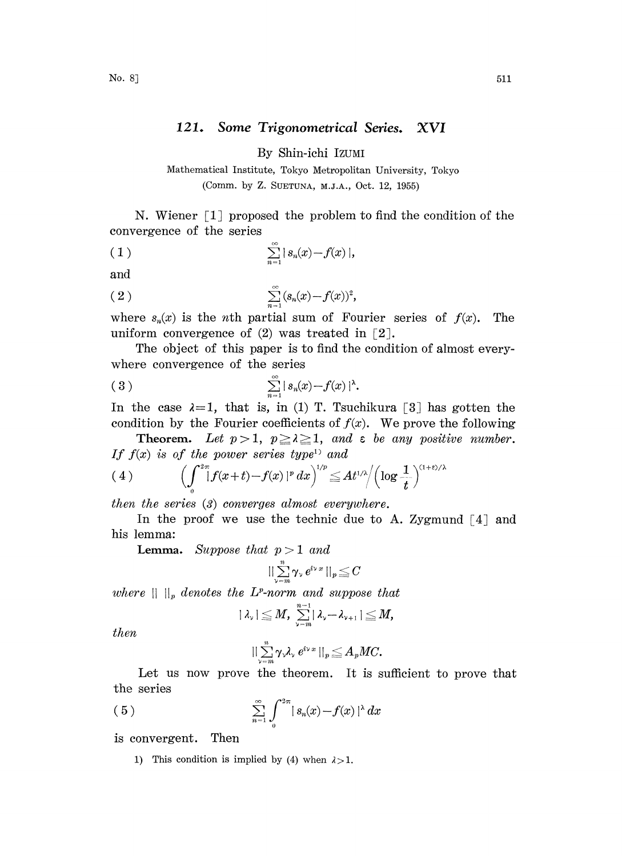## 121. Some Trigonometrical Series. XVI

By Shin-ichi IZUMI

Mathematical Institute, Tokyo Metropolitan University, Tokyo (Comm. by Z. SUETUNA, M.J.A., Oct. 12, 1955)

N. Wiener  $\begin{bmatrix} 1 \end{bmatrix}$  proposed the problem to find the condition of the convergence of the series

$$
(1) \qquad \qquad \sum_{n=1}^{\infty} |s_n(x)-f(x)|,
$$

and

$$
(2) \qquad \qquad \sum_{n=1}^{\infty} (s_n(x)-f(x))^2,
$$

where  $s_n(x)$  is the nth partial sum of Fourier series of  $f(x)$ . The uniform convergence of  $(2)$  was treated in [2].

The object of this paper is to find the condition of almost everywhere convergence of the series

$$
\sum_{n=1}^{\infty} |s_n(x)-f(x)|^{\lambda}.
$$

In the case  $\lambda =1$ , that is, in (1) T. Tsuchikura [3] has gotten the condition by the Fourier coefficients of  $f(x)$ . We prove the following

**Theorem.** Let  $p > 1$ ,  $p \ge \lambda \ge 1$ , and  $\varepsilon$  be any positive number. If  $f(x)$  is of the power series type<sup>1</sup> and

$$
(4) \qquad \left(\int_{0}^{2\pi} |f(x+t)-f(x)|^p dx\right)^{1/p} \leq At^{1/\lambda} \Biggl(\log \frac{1}{t}\Biggr)^{(1+\varepsilon)/\lambda}
$$

then the series  $(3)$  converges almost everywhere.

In the proof we use the technic due to A. Zygmund  $\lceil 4 \rceil$  and his lemma:

**Lemma.** Suppose that  $p > 1$  and

$$
||\sum_{\nu=m}^n\gamma_{\nu}\,e^{i\nu\,x}\,||_p\!\le\!C
$$

where  $|| \ ||_p$  denotes the L<sup>p</sup>-norm and suppose that

$$
|\lambda_{\nu}|\leq M,\ \textstyle\sum\limits_{\nu=m}^{n-1}|\lambda_{\nu}-\lambda_{\nu+1}|\leq M,
$$

then

$$
||\sum_{\nu=m}^n \gamma_{\nu}\lambda_{\nu}\ e^{i\nu\,x}\ ||_p\!\leq\! A_p M C.
$$

Let us now prove the theorem. It is sufficient to prove that the series

(5) 
$$
\sum_{n=1}^{\infty} \int_{0}^{2\pi} |s_n(x) - f(x)|^{\lambda} dx
$$

is convergent. Then

1) This condition is implied by (4) when  $\lambda > 1$ .